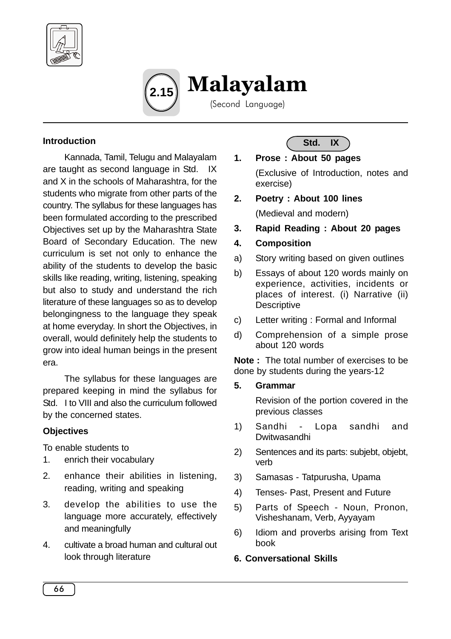



### **Introduction**

Kannada, Tamil, Telugu and Malayalam are taught as second language in Std. IX and X in the schools of Maharashtra, for the students who migrate from other parts of the country. The syllabus for these languages has been formulated according to the prescribed Objectives set up by the Maharashtra State Board of Secondary Education. The new curriculum is set not only to enhance the ability of the students to develop the basic skills like reading, writing, listening, speaking but also to study and understand the rich literature of these languages so as to develop belongingness to the language they speak at home everyday. In short the Objectives, in overall, would definitely help the students to grow into ideal human beings in the present era.

The syllabus for these languages are prepared keeping in mind the syllabus for Std. I to VIII and also the curriculum followed by the concerned states.

### **Objectives**

To enable students to

- 1. enrich their vocabulary
- 2. enhance their abilities in listening, reading, writing and speaking
- 3. develop the abilities to use the language more accurately, effectively and meaningfully
- 4. cultivate a broad human and cultural out look through literature

**Std. IX**

**1. Prose : About 50 pages**

(Exclusive of Introduction, notes and exercise)

**2. Poetry : About 100 lines**

(Medieval and modern)

- **3. Rapid Reading : About 20 pages**
- **4. Composition**
- a) Story writing based on given outlines
- b) Essays of about 120 words mainly on experience, activities, incidents or places of interest. (i) Narrative (ii) **Descriptive**
- c) Letter writing : Formal and Informal
- d) Comprehension of a simple prose about 120 words

**Note :** The total number of exercises to be done by students during the years-12

**5. Grammar**

Revision of the portion covered in the previous classes

- 1) Sandhi Lopa sandhi and Dwitwasandhi
- 2) Sentences and its parts: subjebt, objebt, verb
- 3) Samasas Tatpurusha, Upama
- 4) Tenses- Past, Present and Future
- 5) Parts of Speech Noun, Pronon, Visheshanam, Verb, Ayyayam
- 6) Idiom and proverbs arising from Text book

#### **6. Conversational Skills**